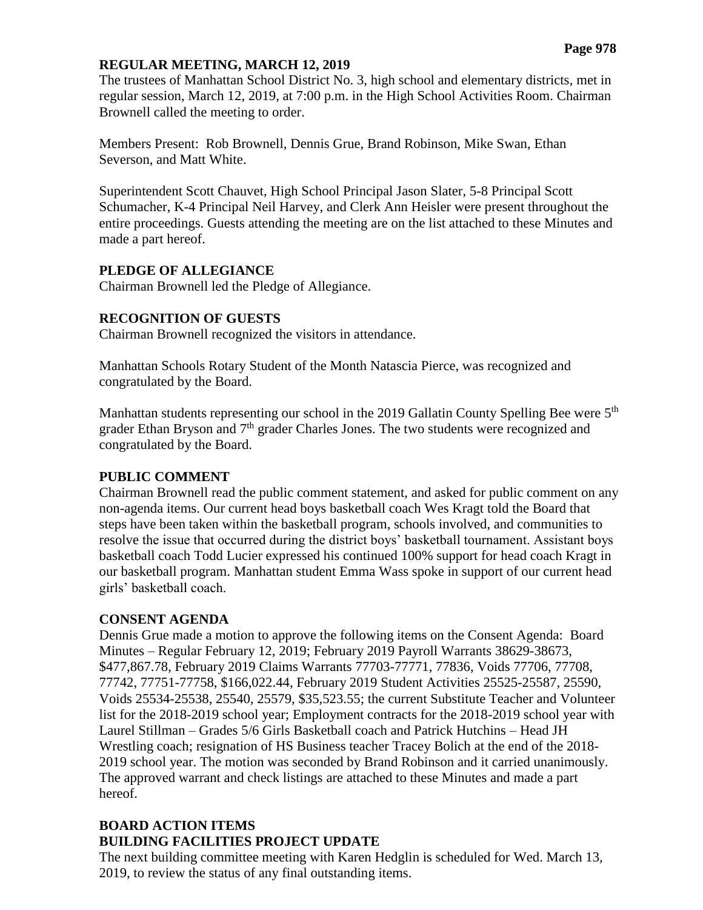### **REGULAR MEETING, MARCH 12, 2019**

The trustees of Manhattan School District No. 3, high school and elementary districts, met in regular session, March 12, 2019, at 7:00 p.m. in the High School Activities Room. Chairman Brownell called the meeting to order.

Members Present: Rob Brownell, Dennis Grue, Brand Robinson, Mike Swan, Ethan Severson, and Matt White.

Superintendent Scott Chauvet, High School Principal Jason Slater, 5-8 Principal Scott Schumacher, K-4 Principal Neil Harvey, and Clerk Ann Heisler were present throughout the entire proceedings. Guests attending the meeting are on the list attached to these Minutes and made a part hereof.

### **PLEDGE OF ALLEGIANCE**

Chairman Brownell led the Pledge of Allegiance.

### **RECOGNITION OF GUESTS**

Chairman Brownell recognized the visitors in attendance.

Manhattan Schools Rotary Student of the Month Natascia Pierce, was recognized and congratulated by the Board.

Manhattan students representing our school in the 2019 Gallatin County Spelling Bee were 5<sup>th</sup> grader Ethan Bryson and 7<sup>th</sup> grader Charles Jones. The two students were recognized and congratulated by the Board.

#### **PUBLIC COMMENT**

Chairman Brownell read the public comment statement, and asked for public comment on any non-agenda items. Our current head boys basketball coach Wes Kragt told the Board that steps have been taken within the basketball program, schools involved, and communities to resolve the issue that occurred during the district boys' basketball tournament. Assistant boys basketball coach Todd Lucier expressed his continued 100% support for head coach Kragt in our basketball program. Manhattan student Emma Wass spoke in support of our current head girls' basketball coach.

### **CONSENT AGENDA**

Dennis Grue made a motion to approve the following items on the Consent Agenda: Board Minutes – Regular February 12, 2019; February 2019 Payroll Warrants 38629-38673, \$477,867.78, February 2019 Claims Warrants 77703-77771, 77836, Voids 77706, 77708, 77742, 77751-77758, \$166,022.44, February 2019 Student Activities 25525-25587, 25590, Voids 25534-25538, 25540, 25579, \$35,523.55; the current Substitute Teacher and Volunteer list for the 2018-2019 school year; Employment contracts for the 2018-2019 school year with Laurel Stillman – Grades 5/6 Girls Basketball coach and Patrick Hutchins – Head JH Wrestling coach; resignation of HS Business teacher Tracey Bolich at the end of the 2018- 2019 school year. The motion was seconded by Brand Robinson and it carried unanimously. The approved warrant and check listings are attached to these Minutes and made a part hereof.

### **BOARD ACTION ITEMS BUILDING FACILITIES PROJECT UPDATE**

The next building committee meeting with Karen Hedglin is scheduled for Wed. March 13, 2019, to review the status of any final outstanding items.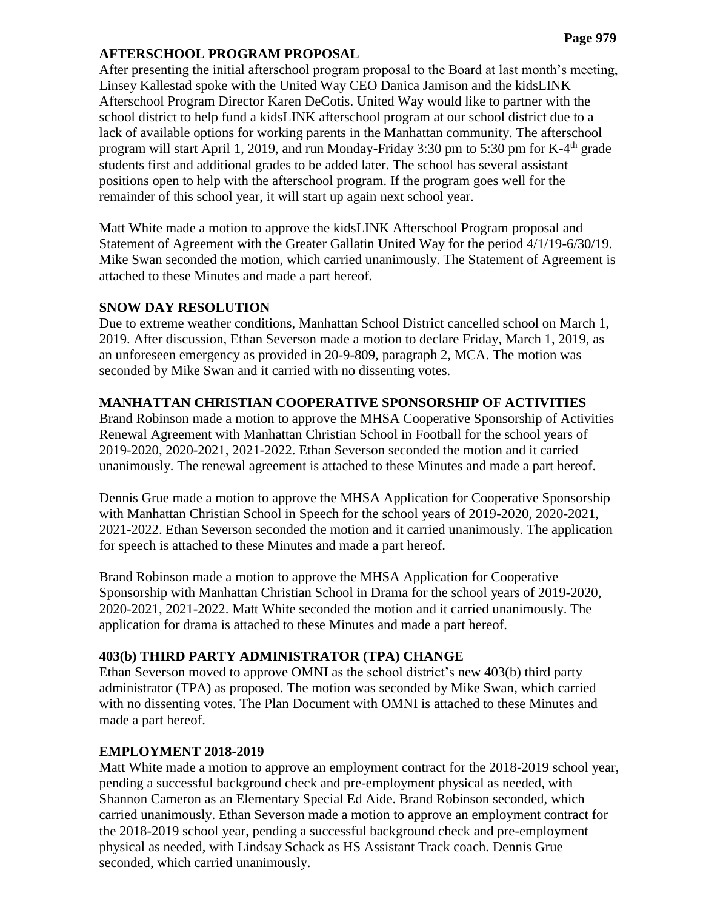### **AFTERSCHOOL PROGRAM PROPOSAL**

After presenting the initial afterschool program proposal to the Board at last month's meeting, Linsey Kallestad spoke with the United Way CEO Danica Jamison and the kidsLINK Afterschool Program Director Karen DeCotis. United Way would like to partner with the school district to help fund a kidsLINK afterschool program at our school district due to a lack of available options for working parents in the Manhattan community. The afterschool program will start April 1, 2019, and run Monday-Friday 3:30 pm to 5:30 pm for K-4<sup>th</sup> grade students first and additional grades to be added later. The school has several assistant positions open to help with the afterschool program. If the program goes well for the remainder of this school year, it will start up again next school year.

Matt White made a motion to approve the kidsLINK Afterschool Program proposal and Statement of Agreement with the Greater Gallatin United Way for the period 4/1/19-6/30/19. Mike Swan seconded the motion, which carried unanimously. The Statement of Agreement is attached to these Minutes and made a part hereof.

### **SNOW DAY RESOLUTION**

Due to extreme weather conditions, Manhattan School District cancelled school on March 1, 2019. After discussion, Ethan Severson made a motion to declare Friday, March 1, 2019, as an unforeseen emergency as provided in 20-9-809, paragraph 2, MCA. The motion was seconded by Mike Swan and it carried with no dissenting votes.

### **MANHATTAN CHRISTIAN COOPERATIVE SPONSORSHIP OF ACTIVITIES**

Brand Robinson made a motion to approve the MHSA Cooperative Sponsorship of Activities Renewal Agreement with Manhattan Christian School in Football for the school years of 2019-2020, 2020-2021, 2021-2022. Ethan Severson seconded the motion and it carried unanimously. The renewal agreement is attached to these Minutes and made a part hereof.

Dennis Grue made a motion to approve the MHSA Application for Cooperative Sponsorship with Manhattan Christian School in Speech for the school years of 2019-2020, 2020-2021, 2021-2022. Ethan Severson seconded the motion and it carried unanimously. The application for speech is attached to these Minutes and made a part hereof.

Brand Robinson made a motion to approve the MHSA Application for Cooperative Sponsorship with Manhattan Christian School in Drama for the school years of 2019-2020, 2020-2021, 2021-2022. Matt White seconded the motion and it carried unanimously. The application for drama is attached to these Minutes and made a part hereof.

# **403(b) THIRD PARTY ADMINISTRATOR (TPA) CHANGE**

Ethan Severson moved to approve OMNI as the school district's new 403(b) third party administrator (TPA) as proposed. The motion was seconded by Mike Swan, which carried with no dissenting votes. The Plan Document with OMNI is attached to these Minutes and made a part hereof.

# **EMPLOYMENT 2018-2019**

Matt White made a motion to approve an employment contract for the 2018-2019 school year, pending a successful background check and pre-employment physical as needed, with Shannon Cameron as an Elementary Special Ed Aide. Brand Robinson seconded, which carried unanimously. Ethan Severson made a motion to approve an employment contract for the 2018-2019 school year, pending a successful background check and pre-employment physical as needed, with Lindsay Schack as HS Assistant Track coach. Dennis Grue seconded, which carried unanimously.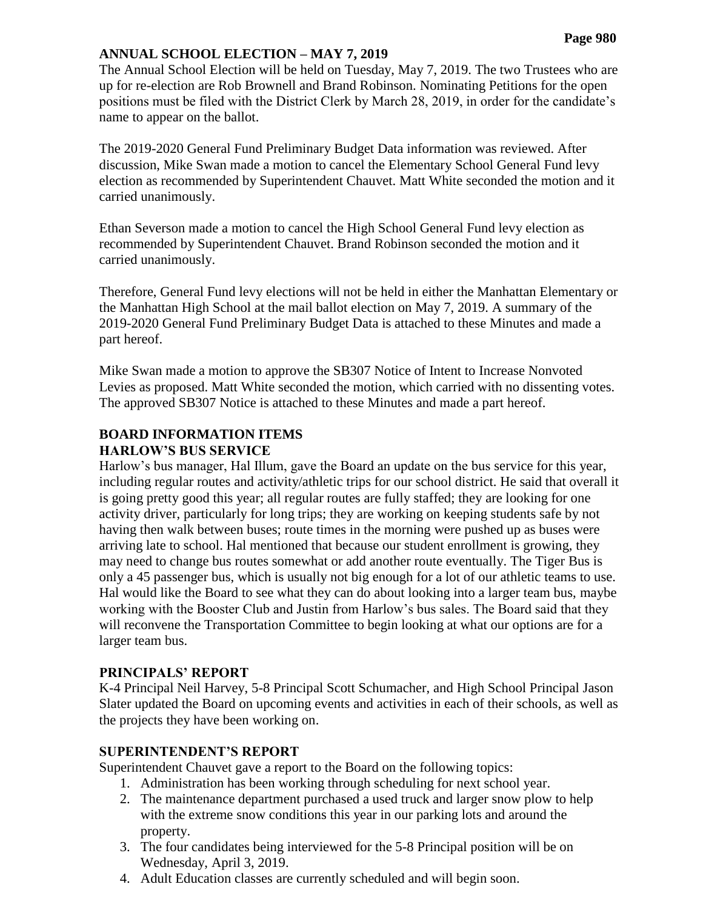### **ANNUAL SCHOOL ELECTION – MAY 7, 2019**

The Annual School Election will be held on Tuesday, May 7, 2019. The two Trustees who are up for re-election are Rob Brownell and Brand Robinson. Nominating Petitions for the open positions must be filed with the District Clerk by March 28, 2019, in order for the candidate's name to appear on the ballot.

The 2019-2020 General Fund Preliminary Budget Data information was reviewed. After discussion, Mike Swan made a motion to cancel the Elementary School General Fund levy election as recommended by Superintendent Chauvet. Matt White seconded the motion and it carried unanimously.

Ethan Severson made a motion to cancel the High School General Fund levy election as recommended by Superintendent Chauvet. Brand Robinson seconded the motion and it carried unanimously.

Therefore, General Fund levy elections will not be held in either the Manhattan Elementary or the Manhattan High School at the mail ballot election on May 7, 2019. A summary of the 2019-2020 General Fund Preliminary Budget Data is attached to these Minutes and made a part hereof.

Mike Swan made a motion to approve the SB307 Notice of Intent to Increase Nonvoted Levies as proposed. Matt White seconded the motion, which carried with no dissenting votes. The approved SB307 Notice is attached to these Minutes and made a part hereof.

#### **BOARD INFORMATION ITEMS HARLOW'S BUS SERVICE**

Harlow's bus manager, Hal Illum, gave the Board an update on the bus service for this year, including regular routes and activity/athletic trips for our school district. He said that overall it is going pretty good this year; all regular routes are fully staffed; they are looking for one activity driver, particularly for long trips; they are working on keeping students safe by not having then walk between buses; route times in the morning were pushed up as buses were arriving late to school. Hal mentioned that because our student enrollment is growing, they may need to change bus routes somewhat or add another route eventually. The Tiger Bus is only a 45 passenger bus, which is usually not big enough for a lot of our athletic teams to use. Hal would like the Board to see what they can do about looking into a larger team bus, maybe working with the Booster Club and Justin from Harlow's bus sales. The Board said that they will reconvene the Transportation Committee to begin looking at what our options are for a larger team bus.

### **PRINCIPALS' REPORT**

K-4 Principal Neil Harvey, 5-8 Principal Scott Schumacher, and High School Principal Jason Slater updated the Board on upcoming events and activities in each of their schools, as well as the projects they have been working on.

### **SUPERINTENDENT'S REPORT**

Superintendent Chauvet gave a report to the Board on the following topics:

- 1. Administration has been working through scheduling for next school year.
- 2. The maintenance department purchased a used truck and larger snow plow to help with the extreme snow conditions this year in our parking lots and around the property.
- 3. The four candidates being interviewed for the 5-8 Principal position will be on Wednesday, April 3, 2019.
- 4. Adult Education classes are currently scheduled and will begin soon.